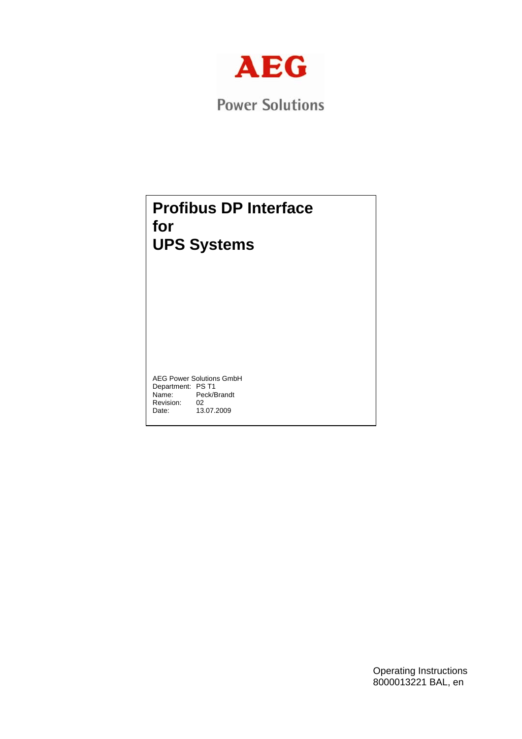

**Power Solutions** 

# **Profibus DP Interface for UPS Systems**

AEG Power Solutions GmbH Department: PS T1<br>Name: Peck/E Peck/Brandt<br>02 Revision:<br>Date: 02<br>13.07.2009

> Operating Instructions 8000013221 BAL, en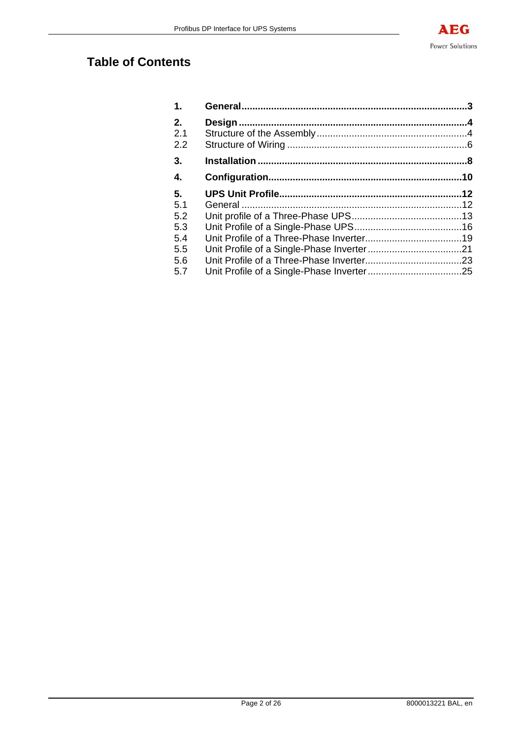# **Table of Contents**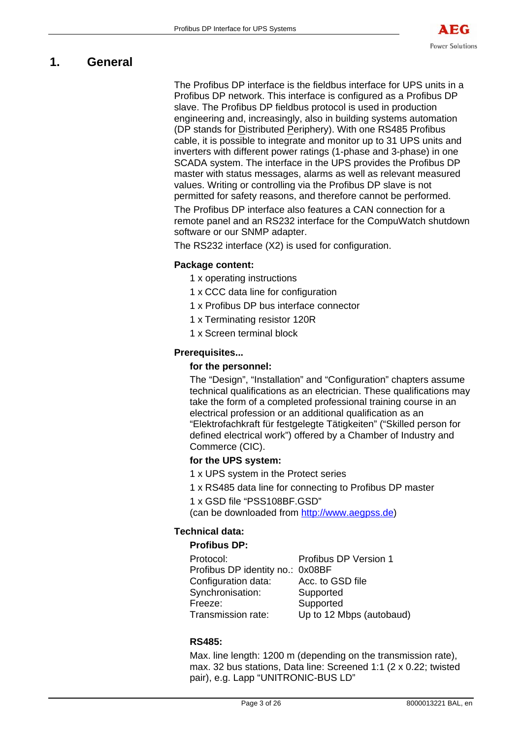# **1. General**

The Profibus DP interface is the fieldbus interface for UPS units in a Profibus DP network. This interface is configured as a Profibus DP slave. The Profibus DP fieldbus protocol is used in production engineering and, increasingly, also in building systems automation (DP stands for Distributed Periphery). With one RS485 Profibus cable, it is possible to integrate and monitor up to 31 UPS units and inverters with different power ratings (1-phase and 3-phase) in one SCADA system. The interface in the UPS provides the Profibus DP master with status messages, alarms as well as relevant measured values. Writing or controlling via the Profibus DP slave is not permitted for safety reasons, and therefore cannot be performed.

The Profibus DP interface also features a CAN connection for a remote panel and an RS232 interface for the CompuWatch shutdown software or our SNMP adapter.

The RS232 interface (X2) is used for configuration.

# **Package content:**

- 1 x operating instructions
- 1 x CCC data line for configuration
- 1 x Profibus DP bus interface connector
- 1 x Terminating resistor 120R
- 1 x Screen terminal block

# **Prerequisites...**

## **for the personnel:**

The "Design", "Installation" and "Configuration" chapters assume technical qualifications as an electrician. These qualifications may take the form of a completed professional training course in an electrical profession or an additional qualification as an "Elektrofachkraft für festgelegte Tätigkeiten" ("Skilled person for defined electrical work") offered by a Chamber of Industry and Commerce (CIC).

## **for the UPS system:**

- 1 x UPS system in the Protect series
- 1 x RS485 data line for connecting to Profibus DP master
- 1 x GSD file "PSS108BF.GSD"

(can be downloaded from http://www.aegpss.de)

## **Technical data:**

### **Profibus DP:**

| Protocol:                        | Profibus DP Version 1    |
|----------------------------------|--------------------------|
| Profibus DP identity no.: 0x08BF |                          |
| Configuration data:              | Acc. to GSD file         |
| Synchronisation:                 | Supported                |
| Freeze:                          | Supported                |
| Transmission rate:               | Up to 12 Mbps (autobaud) |

## **RS485:**

Max. line length: 1200 m (depending on the transmission rate), max. 32 bus stations, Data line: Screened 1:1 (2 x 0.22; twisted pair), e.g. Lapp "UNITRONIC-BUS LD"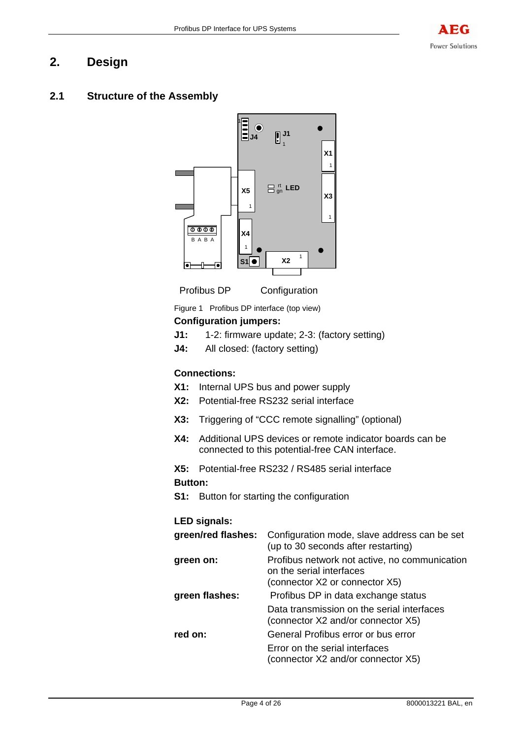# **2. Design**

# **2.1 Structure of the Assembly**





Figure 1 Profibus DP interface (top view)

# **Configuration jumpers:**

- **J1:** 1-2: firmware update; 2-3: (factory setting)
- **J4:** All closed: (factory setting)

## **Connections:**

- **X1:** Internal UPS bus and power supply
- **X2:** Potential-free RS232 serial interface
- **X3:** Triggering of "CCC remote signalling" (optional)
- **X4:** Additional UPS devices or remote indicator boards can be connected to this potential-free CAN interface.
- **X5:** Potential-free RS232 / RS485 serial interface

# **Button:**

**S1:** Button for starting the configuration

# **LED signals:**

| green/red flashes: | Configuration mode, slave address can be set<br>(up to 30 seconds after restarting)                         |
|--------------------|-------------------------------------------------------------------------------------------------------------|
| green on:          | Profibus network not active, no communication<br>on the serial interfaces<br>(connector X2 or connector X5) |
| green flashes:     | Profibus DP in data exchange status                                                                         |
|                    | Data transmission on the serial interfaces<br>(connector X2 and/or connector X5)                            |
| red on:            | General Profibus error or bus error                                                                         |
|                    | Error on the serial interfaces<br>(connector X2 and/or connector X5)                                        |
|                    |                                                                                                             |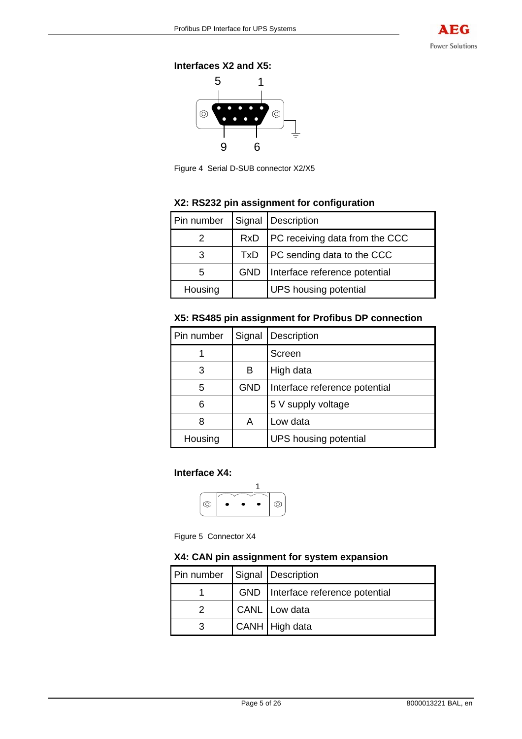**Interfaces X2 and X5:** 



Figure 4 Serial D-SUB connector X2/X5

## **X2: RS232 pin assignment for configuration**

| Pin number |            | Signal   Description                 |  |  |
|------------|------------|--------------------------------------|--|--|
|            |            | RxD   PC receiving data from the CCC |  |  |
|            |            | $TxD$   PC sending data to the CCC   |  |  |
| 5          | <b>GND</b> | Interface reference potential        |  |  |
| Housing    |            | <b>UPS</b> housing potential         |  |  |

## **X5: RS485 pin assignment for Profibus DP connection**

| Pin number |            | Signal   Description          |  |  |
|------------|------------|-------------------------------|--|--|
|            |            | Screen                        |  |  |
| 3          | в          | High data                     |  |  |
| 5          | <b>GND</b> | Interface reference potential |  |  |
| հ          |            | 5 V supply voltage            |  |  |
| 8          | Α          | Low data                      |  |  |
| Housing    |            | <b>UPS</b> housing potential  |  |  |

## **Interface X4:**



Figure 5 Connector X4

## **X4: CAN pin assignment for system expansion**

| Pin number | Signal   Description                |  |
|------------|-------------------------------------|--|
|            | GND   Interface reference potential |  |
|            | CANL Low data                       |  |
|            | CANH   High data                    |  |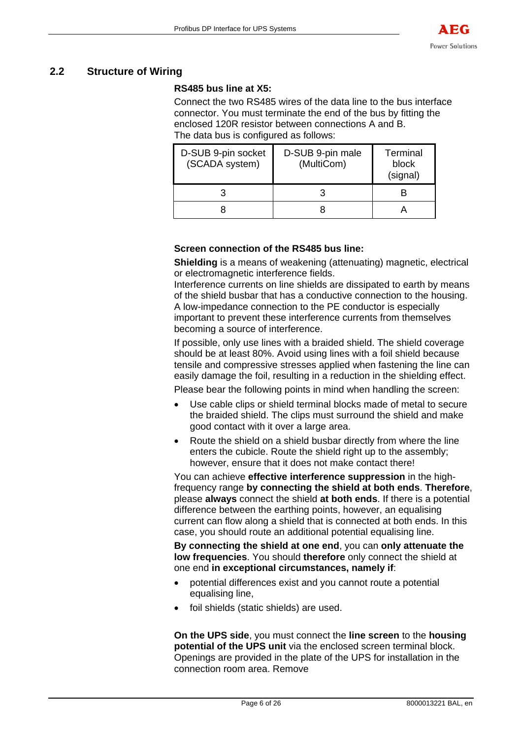# **2.2 Structure of Wiring**

## **RS485 bus line at X5:**

Connect the two RS485 wires of the data line to the bus interface connector. You must terminate the end of the bus by fitting the enclosed 120R resistor between connections A and B. The data bus is configured as follows:

| D-SUB 9-pin socket<br>(SCADA system) | D-SUB 9-pin male<br>(MultiCom) | Terminal<br>block<br>(signal) |
|--------------------------------------|--------------------------------|-------------------------------|
|                                      |                                |                               |
|                                      |                                |                               |

# **Screen connection of the RS485 bus line:**

**Shielding** is a means of weakening (attenuating) magnetic, electrical or electromagnetic interference fields.

Interference currents on line shields are dissipated to earth by means of the shield busbar that has a conductive connection to the housing. A low-impedance connection to the PE conductor is especially important to prevent these interference currents from themselves becoming a source of interference.

If possible, only use lines with a braided shield. The shield coverage should be at least 80%. Avoid using lines with a foil shield because tensile and compressive stresses applied when fastening the line can easily damage the foil, resulting in a reduction in the shielding effect.

Please bear the following points in mind when handling the screen:

- Use cable clips or shield terminal blocks made of metal to secure the braided shield. The clips must surround the shield and make good contact with it over a large area.
- Route the shield on a shield busbar directly from where the line enters the cubicle. Route the shield right up to the assembly; however, ensure that it does not make contact there!

You can achieve **effective interference suppression** in the highfrequency range **by connecting the shield at both ends**. **Therefore**, please **always** connect the shield **at both ends**. If there is a potential difference between the earthing points, however, an equalising current can flow along a shield that is connected at both ends. In this case, you should route an additional potential equalising line.

**By connecting the shield at one end**, you can **only attenuate the low frequencies**. You should **therefore** only connect the shield at one end **in exceptional circumstances, namely if**:

- potential differences exist and you cannot route a potential equalising line,
- foil shields (static shields) are used.

**On the UPS side**, you must connect the **line screen** to the **housing potential of the UPS unit** via the enclosed screen terminal block. Openings are provided in the plate of the UPS for installation in the connection room area. Remove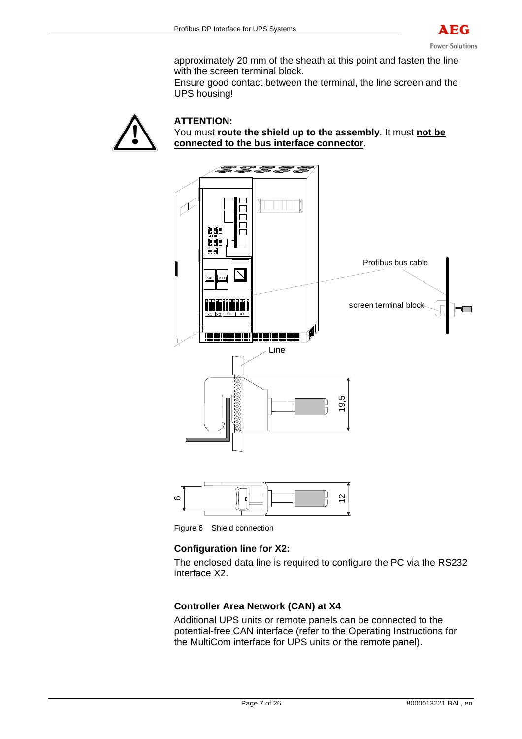

approximately 20 mm of the sheath at this point and fasten the line with the screen terminal block.

Ensure good contact between the terminal, the line screen and the UPS housing!





Figure 6 Shield connection

## **Configuration line for X2:**

The enclosed data line is required to configure the PC via the RS232 interface X2.

## **Controller Area Network (CAN) at X4**

Additional UPS units or remote panels can be connected to the potential-free CAN interface (refer to the Operating Instructions for the MultiCom interface for UPS units or the remote panel).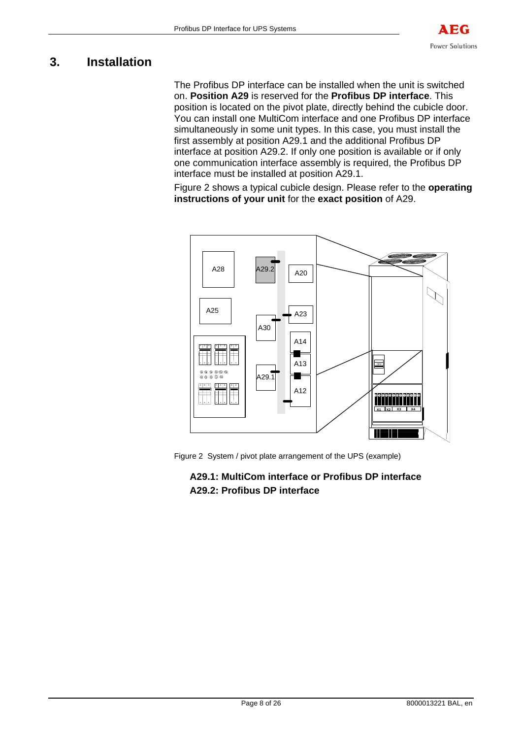# **3. Installation**

The Profibus DP interface can be installed when the unit is switched on. **Position A29** is reserved for the **Profibus DP interface**. This position is located on the pivot plate, directly behind the cubicle door. You can install one MultiCom interface and one Profibus DP interface simultaneously in some unit types. In this case, you must install the first assembly at position A29.1 and the additional Profibus DP interface at position A29.2. If only one position is available or if only one communication interface assembly is required, the Profibus DP interface must be installed at position A29.1.

Figure 2 shows a typical cubicle design. Please refer to the **operating instructions of your unit** for the **exact position** of A29.



Figure 2 System / pivot plate arrangement of the UPS (example)

# **A29.1: MultiCom interface or Profibus DP interface A29.2: Profibus DP interface**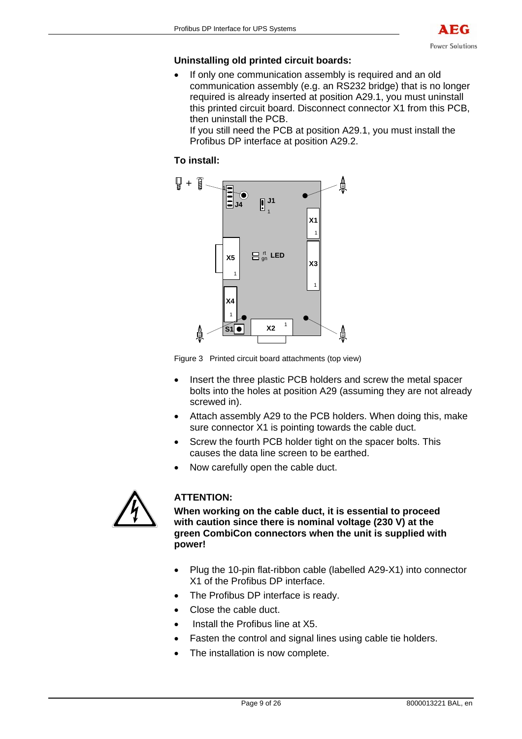

### **Uninstalling old printed circuit boards:**

• If only one communication assembly is required and an old communication assembly (e.g. an RS232 bridge) that is no longer required is already inserted at position A29.1, you must uninstall this printed circuit board. Disconnect connector X1 from this PCB, then uninstall the PCB.

If you still need the PCB at position A29.1, you must install the Profibus DP interface at position A29.2.

# **To install:**



Figure 3 Printed circuit board attachments (top view)

- Insert the three plastic PCB holders and screw the metal spacer bolts into the holes at position A29 (assuming they are not already screwed in).
- Attach assembly A29 to the PCB holders. When doing this, make sure connector X1 is pointing towards the cable duct.
- Screw the fourth PCB holder tight on the spacer bolts. This causes the data line screen to be earthed.
- Now carefully open the cable duct.



# **ATTENTION:**

**When working on the cable duct, it is essential to proceed with caution since there is nominal voltage (230 V) at the green CombiCon connectors when the unit is supplied with power!** 

- Plug the 10-pin flat-ribbon cable (labelled A29-X1) into connector X1 of the Profibus DP interface.
- The Profibus DP interface is ready.
- Close the cable duct.
- Install the Profibus line at X5.
- Fasten the control and signal lines using cable tie holders.
- The installation is now complete.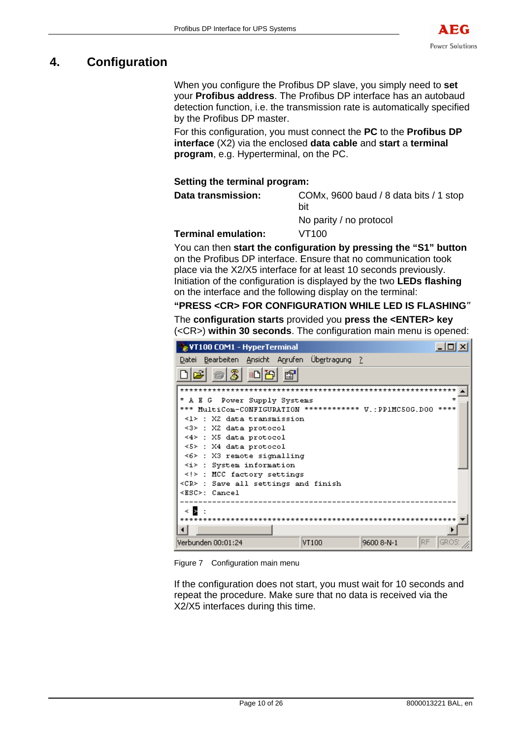

# **4. Configuration**

When you configure the Profibus DP slave, you simply need to **set** your **Profibus address**. The Profibus DP interface has an autobaud detection function, i.e. the transmission rate is automatically specified by the Profibus DP master.

For this configuration, you must connect the **PC** to the **Profibus DP interface** (X2) via the enclosed **data cable** and **start** a **terminal program**, e.g. Hyperterminal, on the PC.

# **Setting the terminal program:**

**Data transmission:** COMx, 9600 baud / 8 data bits / 1 stop bit

No parity / no protocol

### **Terminal emulation:** VT100

You can then **start the configuration by pressing the "S1" button** on the Profibus DP interface. Ensure that no communication took place via the X2/X5 interface for at least 10 seconds previously. Initiation of the configuration is displayed by the two **LEDs flashing** on the interface and the following display on the terminal:

## **"PRESS <CR> FOR CONFIGURATION WHILE LED IS FLASHING**"

The **configuration starts** provided you **press the <ENTER> key** (<CR>) **within 30 seconds**. The configuration main menu is opened:

| VT100 COM1 - HyperTerminal                                                                                                                                                                                                                                                                                                                                                      |       |                                      |                   |
|---------------------------------------------------------------------------------------------------------------------------------------------------------------------------------------------------------------------------------------------------------------------------------------------------------------------------------------------------------------------------------|-------|--------------------------------------|-------------------|
| <u>Datei Bearbeiten Ansicht An</u> rufen Üb <u>e</u> rtragung <u>?</u>                                                                                                                                                                                                                                                                                                          |       |                                      |                   |
| $\frac{1}{2}$<br>ੋ∎∆∐ਲ                                                                                                                                                                                                                                                                                                                                                          | 图     |                                      |                   |
| * A E G Power Supply Systems<br>*** MultiCom-CONFIGURATION ************ V.:PP1MC50G.D00<br><1> : X2 data transmission<br><3> : X2 data protocol<br><4> : X5 data protocol<br><5>: X4 data protocol<br>$\leq 6$ : X3 remote signalling<br>$\langle i \rangle$ : System information<br>: MCC factory settings<br><cr> : Save all settings and finish<br/><esc>: Cancel</esc></cr> |       |                                      |                   |
| к. В. І<br>*********                                                                                                                                                                                                                                                                                                                                                            |       | ************************************ |                   |
|                                                                                                                                                                                                                                                                                                                                                                                 |       |                                      |                   |
| Verbunden 00:01:24                                                                                                                                                                                                                                                                                                                                                              | VT100 | 9600 8-N-1                           | RF<br><b>GROS</b> |

Figure 7 Configuration main menu

If the configuration does not start, you must wait for 10 seconds and repeat the procedure. Make sure that no data is received via the X2/X5 interfaces during this time.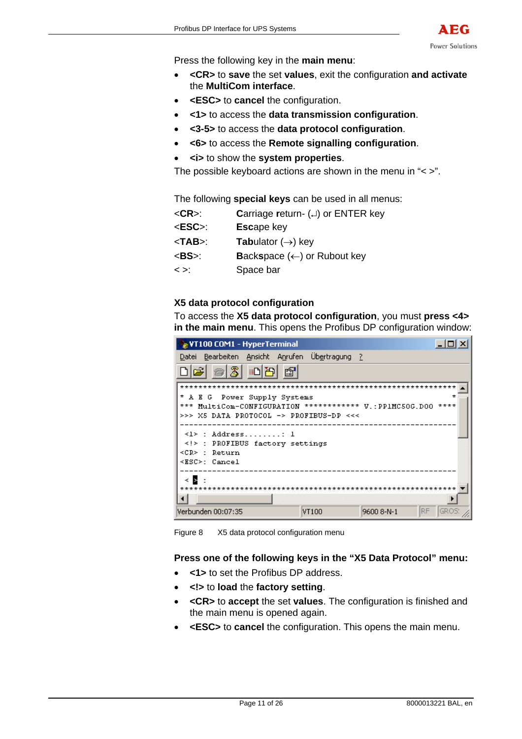

Press the following key in the **main menu**:

- **<CR>** to **save** the set **values**, exit the configuration **and activate** the **MultiCom interface**.
- **<ESC>** to **cancel** the configuration.
- **<1>** to access the **data transmission configuration**.
- **<3-5>** to access the **data protocol configuration**.
- **<6>** to access the **Remote signalling configuration**.
- **<i>** to show the **system properties**.

The possible keyboard actions are shown in the menu in "< >".

The following **special keys** can be used in all menus:

- <**CR**>: **C**arriage **r**eturn- (↵) or ENTER key
- <**ESC**>: **Esc**ape key
- <**TAB**>: **Tab**ulator (→) key
- <**BS**>: **B**ack**s**pace (←) or Rubout key
- < >: Space bar

### **X5 data protocol configuration**

To access the **X5 data protocol configuration**, you must **press <4> in the main menu**. This opens the Profibus DP configuration window:

| $ \ln  x $<br>VT100 COM1 - HyperTerminal                                                                 |  |  |  |  |  |
|----------------------------------------------------------------------------------------------------------|--|--|--|--|--|
| Datei Bearbeiten Ansicht Anrufen Übertragung ?                                                           |  |  |  |  |  |
| c 03 08<br>- 197                                                                                         |  |  |  |  |  |
| ÷<br>* A E G Power Supply Systems                                                                        |  |  |  |  |  |
| *** MultiCom-CONFIGURATION ************ V.: PPIMC50G.DOO ****<br>>>> X5 DATA PROTOCOL -> PROFIBUS-DP <<< |  |  |  |  |  |
|                                                                                                          |  |  |  |  |  |
| $\langle 1 \rangle$ : Address 1<br>: PROFIBUS factory settings                                           |  |  |  |  |  |
| <cr> : Return</cr>                                                                                       |  |  |  |  |  |
| <esc>: Cancel</esc>                                                                                      |  |  |  |  |  |
| k B :                                                                                                    |  |  |  |  |  |
| **************************************                                                                   |  |  |  |  |  |
| IRF.<br>GROS<br>Verbunden 00:07:35<br>9600 8-N-1<br>VT100                                                |  |  |  |  |  |

Figure 8 X5 data protocol configuration menu

### **Press one of the following keys in the "X5 Data Protocol" menu:**

- **<1>** to set the Profibus DP address.
- **<!>** to **load** the **factory setting**.
- **<CR>** to **accept** the set **values**. The configuration is finished and the main menu is opened again.
- **<ESC>** to **cancel** the configuration. This opens the main menu.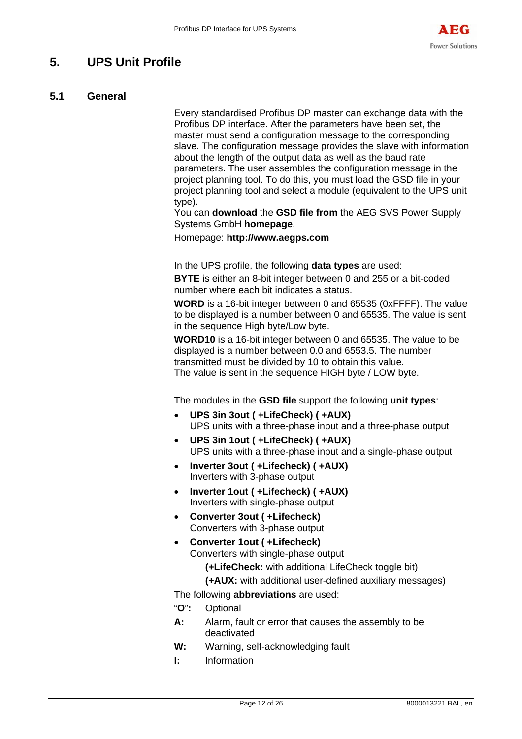# **5. UPS Unit Profile**

# **5.1 General**

Every standardised Profibus DP master can exchange data with the Profibus DP interface. After the parameters have been set, the master must send a configuration message to the corresponding slave. The configuration message provides the slave with information about the length of the output data as well as the baud rate parameters. The user assembles the configuration message in the project planning tool. To do this, you must load the GSD file in your project planning tool and select a module (equivalent to the UPS unit type).

You can **download** the **GSD file from** the AEG SVS Power Supply Systems GmbH **homepage**.

Homepage: **http://www.aegps.com**

In the UPS profile, the following **data types** are used:

**BYTE** is either an 8-bit integer between 0 and 255 or a bit-coded number where each bit indicates a status.

**WORD** is a 16-bit integer between 0 and 65535 (0xFFFF). The value to be displayed is a number between 0 and 65535. The value is sent in the sequence High byte/Low byte.

**WORD10** is a 16-bit integer between 0 and 65535. The value to be displayed is a number between 0.0 and 6553.5. The number transmitted must be divided by 10 to obtain this value. The value is sent in the sequence HIGH byte / LOW byte.

The modules in the **GSD file** support the following **unit types**:

- **UPS 3in 3out ( +LifeCheck) ( +AUX)**  UPS units with a three-phase input and a three-phase output
- **UPS 3in 1out ( +LifeCheck) ( +AUX)**  UPS units with a three-phase input and a single-phase output
- **Inverter 3out ( +Lifecheck) ( +AUX)** Inverters with 3-phase output
- **Inverter 1out ( +Lifecheck) ( +AUX)** Inverters with single-phase output
- **Converter 3out ( +Lifecheck)** Converters with 3-phase output
- **Converter 1out ( +Lifecheck)** Converters with single-phase output

**(+LifeCheck:** with additional LifeCheck toggle bit)

**(+AUX:** with additional user-defined auxiliary messages)

The following **abbreviations** are used:

- "**O**"**:** Optional
- **A:** Alarm, fault or error that causes the assembly to be deactivated
- **W:** Warning, self-acknowledging fault
- **I:** Information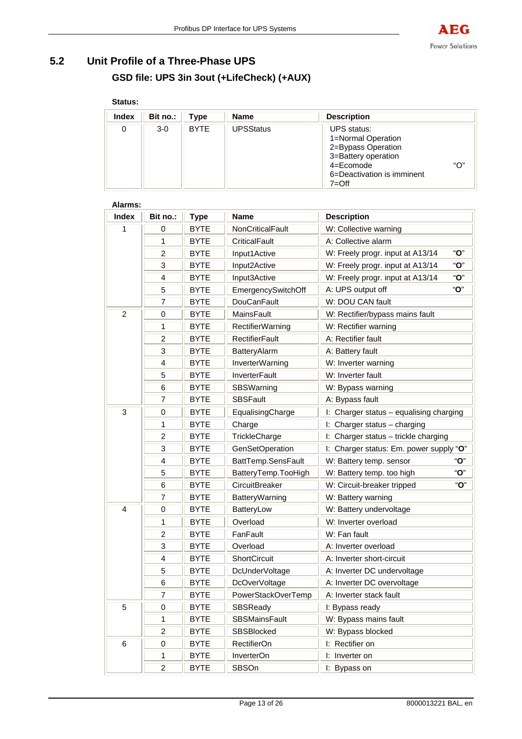

# **5.2 Unit Profile of a Three-Phase UPS GSD file: UPS 3in 3out (+LifeCheck) (+AUX)**

### **Status:**

| Index | Bit no.: | Type        | <b>Name</b>      | <b>Description</b>                                                                                                                            |     |
|-------|----------|-------------|------------------|-----------------------------------------------------------------------------------------------------------------------------------------------|-----|
| 0     | $3-0$    | <b>BYTE</b> | <b>UPSStatus</b> | <b>UPS</b> status:<br>1=Normal Operation<br>2=Bypass Operation<br>3=Battery operation<br>4=Ecomode<br>6=Deactivation is imminent<br>$7 = Off$ | "O" |

| A1411113.<br><b>Index</b> | Bit no.:       | <b>Type</b> | <b>Name</b>             | <b>Description</b>                      |  |
|---------------------------|----------------|-------------|-------------------------|-----------------------------------------|--|
| 1                         | 0              | <b>BYTE</b> | NonCriticalFault        | W: Collective warning                   |  |
|                           | 1              | <b>BYTE</b> | CriticalFault           | A: Collective alarm                     |  |
|                           | $\overline{2}$ | <b>BYTE</b> | Input1Active            | "O"<br>W: Freely progr. input at A13/14 |  |
|                           | 3              | <b>BYTE</b> | Input2Active            | "O"<br>W: Freely progr. input at A13/14 |  |
|                           | 4              | <b>BYTE</b> | Input3Active            | "O"<br>W: Freely progr. input at A13/14 |  |
|                           | 5              | <b>BYTE</b> | EmergencySwitchOff      | "O"<br>A: UPS output off                |  |
|                           | 7              | <b>BYTE</b> | <b>DouCanFault</b>      | W: DOU CAN fault                        |  |
| $\overline{c}$            | 0              | <b>BYTE</b> | MainsFault              | W: Rectifier/bypass mains fault         |  |
|                           | 1              | <b>BYTE</b> | <b>RectifierWarning</b> | W: Rectifier warning                    |  |
|                           | $\overline{c}$ | <b>BYTE</b> | <b>RectifierFault</b>   | A: Rectifier fault                      |  |
|                           | 3              | <b>BYTE</b> | BatteryAlarm            | A: Battery fault                        |  |
|                           | 4              | <b>BYTE</b> | InverterWarning         | W: Inverter warning                     |  |
|                           | 5              | <b>BYTE</b> | <b>InverterFault</b>    | W: Inverter fault                       |  |
|                           | 6              | <b>BYTE</b> | SBSWarning              | W: Bypass warning                       |  |
|                           | $\overline{7}$ | <b>BYTE</b> | <b>SBSFault</b>         | A: Bypass fault                         |  |
| $\mathbf{3}$              | 0              | <b>BYTE</b> | EqualisingCharge        | I: Charger status - equalising charging |  |
|                           | 1              | <b>BYTE</b> | Charge                  | I: Charger status - charging            |  |
|                           | $\overline{2}$ | <b>BYTE</b> | TrickleCharge           | I: Charger status - trickle charging    |  |
|                           | 3              | <b>BYTE</b> | <b>GenSetOperation</b>  | I: Charger status: Em. power supply "O" |  |
|                           | 4              | <b>BYTE</b> | BattTemp.SensFault      | "O"<br>W: Battery temp. sensor          |  |
|                           | 5              | <b>BYTE</b> | BatteryTemp.TooHigh     | "O"<br>W: Battery temp. too high        |  |
|                           | 6              | BYTE        | CircuitBreaker          | "О"<br>W: Circuit-breaker tripped       |  |
|                           | $\overline{7}$ | <b>BYTE</b> | <b>BatteryWarning</b>   | W: Battery warning                      |  |
| $\overline{4}$            | 0              | <b>BYTE</b> | BatteryLow              | W: Battery undervoltage                 |  |
|                           | 1              | <b>BYTE</b> | Overload                | W: Inverter overload                    |  |
|                           | $\overline{c}$ | <b>BYTE</b> | FanFault                | W: Fan fault                            |  |
|                           | 3              | <b>BYTE</b> | Overload                | A: Inverter overload                    |  |
|                           | 4              | <b>BYTE</b> | ShortCircuit            | A: Inverter short-circuit               |  |
|                           | 5              | <b>BYTE</b> | DcUnderVoltage          | A: Inverter DC undervoltage             |  |
|                           | 6              | <b>BYTE</b> | DcOverVoltage           | A: Inverter DC overvoltage              |  |
|                           | 7              | <b>BYTE</b> | PowerStackOverTemp      | A: Inverter stack fault                 |  |
| 5                         | 0              | <b>BYTE</b> | SBSReady                | I: Bypass ready                         |  |
|                           | 1              | <b>BYTE</b> | <b>SBSMainsFault</b>    | W: Bypass mains fault                   |  |
|                           | $\overline{c}$ | <b>BYTE</b> | SBSBlocked              | W: Bypass blocked                       |  |
| 6                         | 0              | <b>BYTE</b> | RectifierOn             | I: Rectifier on                         |  |
|                           | 1              | <b>BYTE</b> | InverterOn              | I: Inverter on                          |  |
|                           | $\overline{c}$ | <b>BYTE</b> | <b>SBSOn</b>            | I: Bypass on                            |  |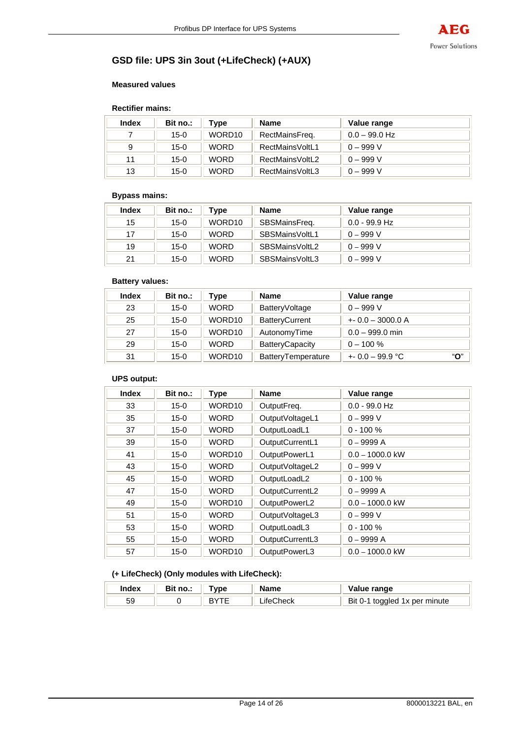# **GSD file: UPS 3in 3out (+LifeCheck) (+AUX)**

#### **Measured values**

#### **Rectifier mains:**

| <b>Index</b> | Bit no.: | Type        | <b>Name</b>     | Value range     |
|--------------|----------|-------------|-----------------|-----------------|
|              | $15-0$   | WORD10      | RectMainsFreq.  | $0.0 - 99.0$ Hz |
|              | 15-0     | <b>WORD</b> | RectMainsVoltL1 | $0 - 999 V$     |
| 11           | 15-0     | <b>WORD</b> | RectMainsVoltL2 | $0 - 999 V$     |
| 13           | $15-0$   | <b>WORD</b> | RectMainsVoltL3 | $0 - 999 V$     |

### **Bypass mains:**

| Index | Bit no.: | Type        | <b>Name</b>    | Value range     |
|-------|----------|-------------|----------------|-----------------|
| 15    | $15-0$   | WORD10      | SBSMainsFreg.  | $0.0 - 99.9$ Hz |
| 17    | $15-0$   | <b>WORD</b> | SBSMainsVoltL1 | $0 - 999 V$     |
| 19    | $15-0$   | <b>WORD</b> | SBSMainsVoltL2 | $0 - 999 V$     |
| 21    | 15-0     | <b>WORD</b> | SBSMainsVoltL3 | $0 - 999 V$     |

#### **Battery values:**

| Index | Bit no.: | Туре        | <b>Name</b>            | Value range             |
|-------|----------|-------------|------------------------|-------------------------|
| 23    | $15 - 0$ | <b>WORD</b> | BatteryVoltage         | $0 - 999 V$             |
| 25    | $15-0$   | WORD10      | <b>BatteryCurrent</b>  | $+0.0 - 3000.0 A$       |
| 27    | $15-0$   | WORD10      | AutonomyTime           | $0.0 - 999.0$ min       |
| 29    | $15-0$   | <b>WORD</b> | <b>BatteryCapacity</b> | $0 - 100 \%$            |
| 31    | $15 - 0$ | WORD10      | BatteryTemperature     | "О"<br>$+0.0 - 99.9$ °C |

### **UPS output:**

| <b>Index</b> | Bit no.: | <b>Type</b> | <b>Name</b>     | Value range       |
|--------------|----------|-------------|-----------------|-------------------|
| 33           | $15 - 0$ | WORD10      | OutputFreq.     | $0.0 - 99.0$ Hz   |
| 35           | $15 - 0$ | <b>WORD</b> | OutputVoltageL1 | $0 - 999 V$       |
| 37           | $15-0$   | <b>WORD</b> | OutputLoadL1    | $0 - 100 \%$      |
| 39           | $15 - 0$ | <b>WORD</b> | OutputCurrentL1 | $0 - 9999A$       |
| 41           | $15 - 0$ | WORD10      | OutputPowerL1   | $0.0 - 1000.0$ kW |
| 43           | $15-0$   | <b>WORD</b> | OutputVoltageL2 | $0 - 999 V$       |
| 45           | $15 - 0$ | <b>WORD</b> | OutputLoadL2    | $0 - 100 \%$      |
| 47           | $15-0$   | <b>WORD</b> | OutputCurrentL2 | $0 - 9999A$       |
| 49           | $15-0$   | WORD10      | OutputPowerL2   | $0.0 - 1000.0$ kW |
| 51           | $15 - 0$ | <b>WORD</b> | OutputVoltageL3 | $0 - 999 V$       |
| 53           | $15-0$   | <b>WORD</b> | OutputLoadL3    | $0 - 100 \%$      |
| 55           | $15-0$   | <b>WORD</b> | OutputCurrentL3 | $0 - 9999A$       |
| 57           | $15-0$   | WORD10      | OutputPowerL3   | $0.0 - 1000.0$ kW |

# **(+ LifeCheck) (Only modules with LifeCheck):**

| Index | ` no<br>ы | vpe | Name          | Value range                                    |
|-------|-----------|-----|---------------|------------------------------------------------|
| ວະ    |           |     | `heck<br>ite( | Bit $0-$<br><sup>1</sup> toggled 1x per minute |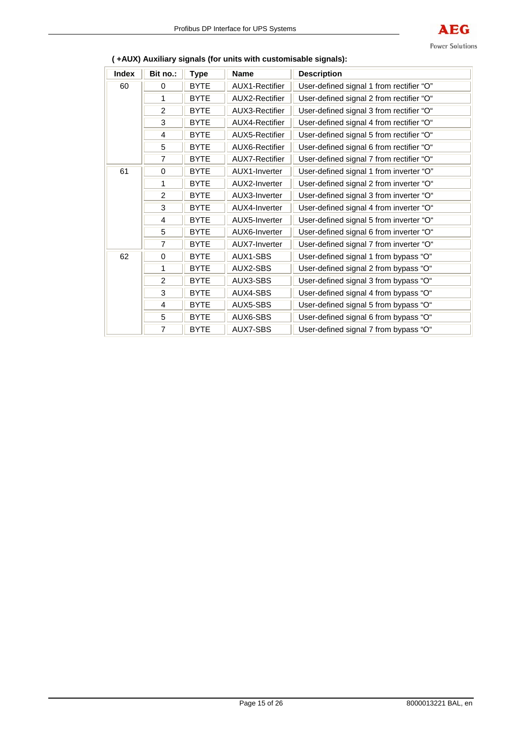

| Index | Bit no.:       | <b>Type</b> | <b>Name</b>           | <b>Description</b>                       |
|-------|----------------|-------------|-----------------------|------------------------------------------|
| 60    | 0              | <b>BYTE</b> | <b>AUX1-Rectifier</b> | User-defined signal 1 from rectifier "O" |
|       | 1              | <b>BYTE</b> | <b>AUX2-Rectifier</b> | User-defined signal 2 from rectifier "O" |
|       | $\overline{2}$ | <b>BYTE</b> | <b>AUX3-Rectifier</b> | User-defined signal 3 from rectifier "O" |
|       | 3              | <b>BYTE</b> | <b>AUX4-Rectifier</b> | User-defined signal 4 from rectifier "O" |
|       | 4              | <b>BYTE</b> | <b>AUX5-Rectifier</b> | User-defined signal 5 from rectifier "O" |
|       | 5              | <b>BYTE</b> | <b>AUX6-Rectifier</b> | User-defined signal 6 from rectifier "O" |
|       | $\overline{7}$ | <b>BYTE</b> | <b>AUX7-Rectifier</b> | User-defined signal 7 from rectifier "O" |
| 61    | 0              | <b>BYTE</b> | AUX1-Inverter         | User-defined signal 1 from inverter "O"  |
|       | 1              | <b>BYTE</b> | AUX2-Inverter         | User-defined signal 2 from inverter "O"  |
|       | $\overline{2}$ | <b>BYTE</b> | AUX3-Inverter         | User-defined signal 3 from inverter "O"  |
|       | 3              | <b>BYTE</b> | AUX4-Inverter         | User-defined signal 4 from inverter "O"  |
|       | 4              | <b>BYTE</b> | AUX5-Inverter         | User-defined signal 5 from inverter "O"  |
|       | 5              | <b>BYTE</b> | AUX6-Inverter         | User-defined signal 6 from inverter "O"  |
|       | $\overline{7}$ | <b>BYTE</b> | AUX7-Inverter         | User-defined signal 7 from inverter "O"  |
| 62    | 0              | <b>BYTE</b> | AUX1-SBS              | User-defined signal 1 from bypass "O"    |
|       | 1              | <b>BYTE</b> | AUX2-SBS              | User-defined signal 2 from bypass "O"    |
|       | $\overline{2}$ | <b>BYTE</b> | AUX3-SBS              | User-defined signal 3 from bypass "O"    |
|       | 3              | <b>BYTE</b> | AUX4-SBS              | User-defined signal 4 from bypass "O"    |
|       | 4              | <b>BYTE</b> | AUX5-SBS              | User-defined signal 5 from bypass "O"    |
|       | 5              | <b>BYTE</b> | AUX6-SBS              | User-defined signal 6 from bypass "O"    |
|       | $\overline{7}$ | <b>BYTE</b> | AUX7-SBS              | User-defined signal 7 from bypass "O"    |

# **( +AUX) Auxiliary signals (for units with customisable signals):**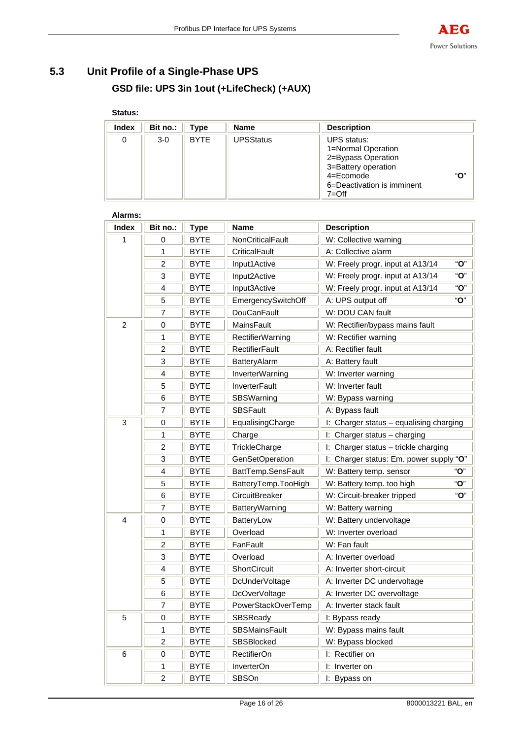# **5.3 Unit Profile of a Single-Phase UPS GSD file: UPS 3in 1out (+LifeCheck) (+AUX)**

# **Status:**

| <b>Index</b> | Bit no.: | Type        | <b>Name</b>      | <b>Description</b>                                                                                                                                 |     |
|--------------|----------|-------------|------------------|----------------------------------------------------------------------------------------------------------------------------------------------------|-----|
| 0            | $3-0$    | <b>BYTE</b> | <b>UPSStatus</b> | <b>UPS</b> status:<br>1=Normal Operation<br>2=Bypass Operation<br>3=Battery operation<br>$4 = E$ comode<br>6=Deactivation is imminent<br>$7 = Off$ | "በ" |

| <b>Index</b>   | Bit no.:       | <b>Type</b> | <b>Name</b>                                                 | <b>Description</b>                          |
|----------------|----------------|-------------|-------------------------------------------------------------|---------------------------------------------|
| 1              | 0              | <b>BYTE</b> | NonCriticalFault                                            | W: Collective warning                       |
|                | 1              | <b>BYTE</b> | CriticalFault                                               | A: Collective alarm                         |
|                | $\overline{c}$ | <b>BYTE</b> | Input1Active                                                | "O"<br>W: Freely progr. input at A13/14     |
|                | 3              | <b>BYTE</b> | Input2Active                                                | " $O$ "<br>W: Freely progr. input at A13/14 |
|                | $\overline{4}$ | <b>BYTE</b> | Input3Active                                                | "O"<br>W: Freely progr. input at A13/14     |
|                | 5              | <b>BYTE</b> | EmergencySwitchOff                                          | "O"<br>A: UPS output off                    |
|                | $\overline{7}$ | <b>BYTE</b> | <b>DouCanFault</b>                                          | W: DOU CAN fault                            |
| $\overline{2}$ | 0              | <b>BYTE</b> | <b>MainsFault</b>                                           | W: Rectifier/bypass mains fault             |
|                | 1              | <b>BYTE</b> | <b>RectifierWarning</b>                                     | W: Rectifier warning                        |
|                | $\overline{c}$ | <b>BYTE</b> | <b>RectifierFault</b>                                       | A: Rectifier fault                          |
|                | 3              | <b>BYTE</b> | BatteryAlarm                                                | A: Battery fault                            |
|                | 4              | <b>BYTE</b> | InverterWarning                                             | W: Inverter warning                         |
|                | 5              | <b>BYTE</b> | <b>InverterFault</b>                                        | W: Inverter fault                           |
|                | 6              | <b>BYTE</b> | SBSWarning                                                  | W: Bypass warning                           |
|                | $\overline{7}$ | <b>BYTE</b> | <b>SBSFault</b>                                             | A: Bypass fault                             |
| 3              | 0              | <b>BYTE</b> | I: Charger status - equalising charging<br>EqualisingCharge |                                             |
|                | 1              | <b>BYTE</b> | Charge                                                      | I: Charger status - charging                |
|                | $\overline{c}$ | <b>BYTE</b> | TrickleCharge                                               | I: Charger status - trickle charging        |
|                | 3              | <b>BYTE</b> | <b>GenSetOperation</b>                                      | I: Charger status: Em. power supply "O"     |
|                | 4              | <b>BYTE</b> | BattTemp.SensFault                                          | "O"<br>W: Battery temp. sensor              |
|                | 5              | <b>BYTE</b> | BatteryTemp.TooHigh                                         | "O"<br>W: Battery temp. too high            |
|                | 6              | <b>BYTE</b> | CircuitBreaker                                              | "O"<br>W: Circuit-breaker tripped           |
|                | $\overline{7}$ | <b>BYTE</b> | <b>BatteryWarning</b>                                       | W: Battery warning                          |
| 4              | 0              | <b>BYTE</b> | BatteryLow                                                  | W: Battery undervoltage                     |
|                | 1              | <b>BYTE</b> | Overload                                                    | W: Inverter overload                        |
|                | $\overline{c}$ | <b>BYTE</b> | FanFault                                                    | W: Fan fault                                |
|                | 3              | <b>BYTE</b> | Overload                                                    | A: Inverter overload                        |
|                | $\overline{4}$ | <b>BYTE</b> | ShortCircuit                                                | A: Inverter short-circuit                   |
|                | 5              | <b>BYTE</b> | DcUnderVoltage                                              | A: Inverter DC undervoltage                 |
|                | 6              | <b>BYTE</b> | DcOverVoltage                                               | A: Inverter DC overvoltage                  |
|                | $\overline{7}$ | <b>BYTE</b> | A: Inverter stack fault<br>PowerStackOverTemp               |                                             |
| 5              | 0              | <b>BYTE</b> | I: Bypass ready<br>SBSReady                                 |                                             |
|                | 1              | <b>BYTE</b> | <b>SBSMainsFault</b>                                        | W: Bypass mains fault                       |
|                | $\overline{c}$ | <b>BYTE</b> | SBSBlocked                                                  | W: Bypass blocked                           |
| 6              | 0              | <b>BYTE</b> | RectifierOn                                                 | I: Rectifier on                             |
|                | 1              | <b>BYTE</b> | InverterOn                                                  | I: Inverter on                              |
|                | $\overline{c}$ | <b>BYTE</b> | <b>SBSOn</b>                                                | I: Bypass on                                |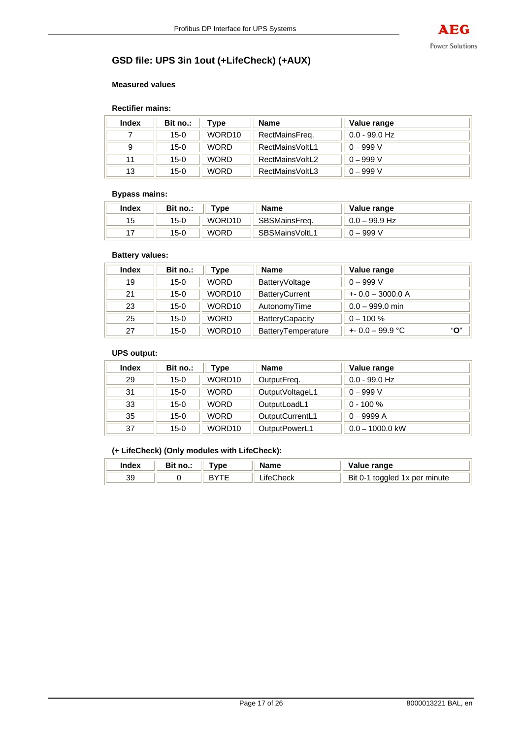# **GSD file: UPS 3in 1out (+LifeCheck) (+AUX)**

#### **Measured values**

#### **Rectifier mains:**

| <b>Index</b> | Bit no.: | Type        | <b>Name</b>     | Value range     |
|--------------|----------|-------------|-----------------|-----------------|
|              | $15 - 0$ | WORD10      | RectMainsFreq.  | $0.0$ - 99.0 Hz |
| 9            | $15-0$   | <b>WORD</b> | RectMainsVoltL1 | $0 - 999 V$     |
| 11           | $15-0$   | <b>WORD</b> | RectMainsVoltL2 | $0 - 999 V$     |
| 13           | $15-0$   | <b>WORD</b> | RectMainsVoltL3 | $0 - 999 V$     |

#### **Bypass mains:**

| Index | Bit no.: | vpe"               | <b>Name</b>    | Value range     |
|-------|----------|--------------------|----------------|-----------------|
| 15    | $15-0$   | WORD <sub>10</sub> | SBSMainsFreq.  | $0.0 - 99.9$ Hz |
|       | $15 - 0$ | <b>WORD</b>        | SBSMainsVoltL1 | $0 - 999 V$     |

### **Battery values:**

| <b>Index</b> | Bit no.: | Type        | <b>Name</b>            | Value range             |  |
|--------------|----------|-------------|------------------------|-------------------------|--|
| 19           | $15-0$   | <b>WORD</b> | BatteryVoltage         | $0 - 999 V$             |  |
| 21           | $15 - 0$ | WORD10      | <b>BatteryCurrent</b>  | $+0.0 - 3000.0 A$       |  |
| 23           | $15-0$   | WORD10      | AutonomyTime           | $0.0 - 999.0$ min       |  |
| 25           | $15-0$   | <b>WORD</b> | <b>BatteryCapacity</b> | $0 - 100 \%$            |  |
| 27           | $15-0$   | WORD10      | BatteryTemperature     | "О"<br>$+0.0 - 99.9$ °C |  |

#### **UPS output:**

| Index | Bit no.: | Type        | <b>Name</b>      | Value range       |
|-------|----------|-------------|------------------|-------------------|
| 29    | $15-0$   | WORD10      | OutputFreq.      | $0.0 - 99.0$ Hz   |
| 31    | $15-0$   | <b>WORD</b> | Output VoltageL1 | $0 - 999 V$       |
| 33    | $15-0$   | <b>WORD</b> | OutputLoadL1     | $0 - 100 \%$      |
| 35    | $15 - 0$ | <b>WORD</b> | OutputCurrentL1  | $0 - 9999A$       |
| 37    | $15-0$   | WORD10      | OutputPowerL1    | $0.0 - 1000.0$ kW |

### **(+ LifeCheck) (Only modules with LifeCheck):**

| Index | Bit no.: | Tvne | <b>Name</b>    | /alue range                               |
|-------|----------|------|----------------|-------------------------------------------|
| 39    |          |      | .`heck<br>ite( | <b>Bit 0-1</b><br>' toggled 1x per minute |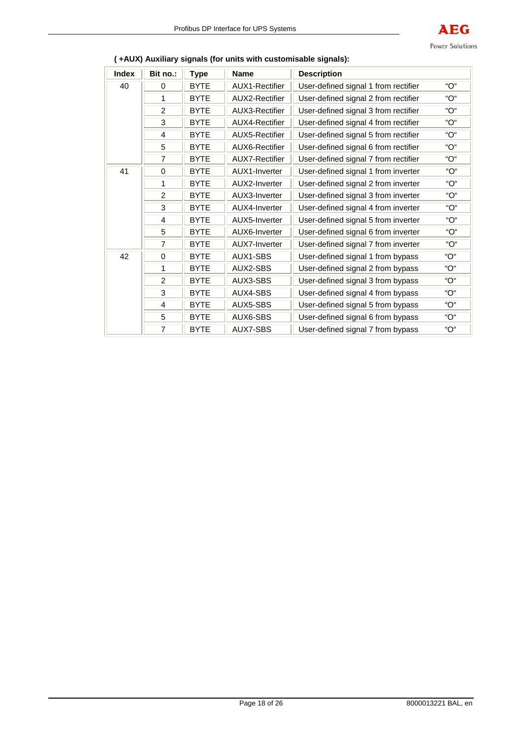

| <b>Index</b> | Bit no.:       | <b>Type</b> | <b>Name</b>           | <b>Description</b>                   |     |
|--------------|----------------|-------------|-----------------------|--------------------------------------|-----|
| 40           | 0              | <b>BYTE</b> | <b>AUX1-Rectifier</b> | User-defined signal 1 from rectifier | "ገ" |
|              | 1              | <b>BYTE</b> | <b>AUX2-Rectifier</b> | User-defined signal 2 from rectifier | "ገ" |
|              | $\overline{2}$ | <b>BYTE</b> | AUX3-Rectifier        | User-defined signal 3 from rectifier | "O" |
|              | 3              | <b>BYTE</b> | <b>AUX4-Rectifier</b> | User-defined signal 4 from rectifier | "O" |
|              | 4              | <b>BYTE</b> | <b>AUX5-Rectifier</b> | User-defined signal 5 from rectifier | "O" |
|              | 5              | <b>BYTE</b> | AUX6-Rectifier        | User-defined signal 6 from rectifier | "O" |
|              | 7              | <b>BYTE</b> | <b>AUX7-Rectifier</b> | User-defined signal 7 from rectifier | "O" |
| 41           | 0              | <b>BYTE</b> | AUX1-Inverter         | User-defined signal 1 from inverter  | "O" |
|              | 1              | <b>BYTE</b> | AUX2-Inverter         | User-defined signal 2 from inverter  | "O" |
|              | $\overline{2}$ | <b>BYTE</b> | AUX3-Inverter         | User-defined signal 3 from inverter  | "O" |
|              | 3              | <b>BYTE</b> | AUX4-Inverter         | User-defined signal 4 from inverter  | "O" |
|              | 4              | <b>BYTE</b> | AUX5-Inverter         | User-defined signal 5 from inverter  | "O" |
|              | 5              | <b>BYTE</b> | AUX6-Inverter         | User-defined signal 6 from inverter  | "O" |
|              | $\overline{7}$ | <b>BYTE</b> | AUX7-Inverter         | User-defined signal 7 from inverter  | "O" |
| 42           | $\Omega$       | <b>BYTE</b> | AUX1-SBS              | User-defined signal 1 from bypass    | "O" |
|              | 1              | <b>BYTE</b> | AUX2-SBS              | User-defined signal 2 from bypass    | "∩" |
|              | $\overline{2}$ | <b>BYTE</b> | AUX3-SBS              | User-defined signal 3 from bypass    | "∩" |
|              | 3              | <b>BYTE</b> | AUX4-SBS              | User-defined signal 4 from bypass    | "O" |
|              | 4              | <b>BYTE</b> | AUX5-SBS              | User-defined signal 5 from bypass    | "∩" |
|              | 5              | <b>BYTE</b> | AUX6-SBS              | User-defined signal 6 from bypass    | "O" |
|              | 7              | <b>BYTE</b> | AUX7-SBS              | User-defined signal 7 from bypass    | "O" |

### **( +AUX) Auxiliary signals (for units with customisable signals):**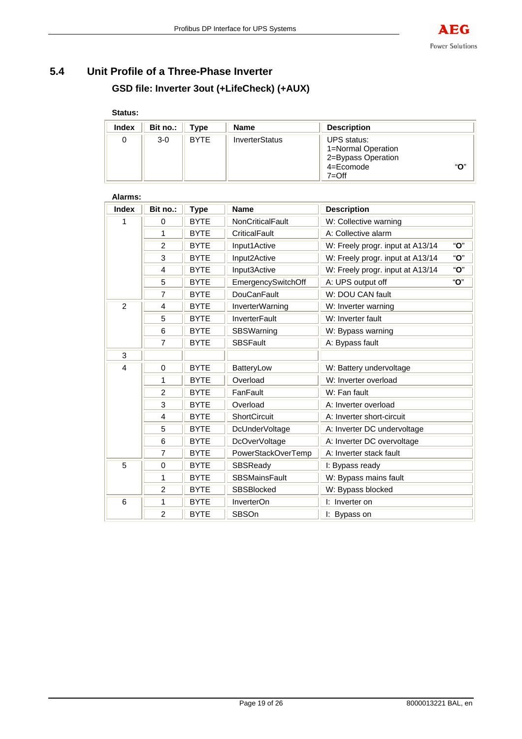# **5.4 Unit Profile of a Three-Phase Inverter GSD file: Inverter 3out (+LifeCheck) (+AUX)**

# **Status:**

| Index | Bit no.: | Type        | <b>Name</b>    | <b>Description</b>                                                                |     |
|-------|----------|-------------|----------------|-----------------------------------------------------------------------------------|-----|
|       | $3-0$    | <b>BYTE</b> | InverterStatus | UPS status:<br>1=Normal Operation<br>2=Bypass Operation<br>4=Ecomode<br>$7 = Off$ | "О" |

| Alarms:        |                |             |                                    |                                  |     |
|----------------|----------------|-------------|------------------------------------|----------------------------------|-----|
| <b>Index</b>   | Bit no.:       | <b>Type</b> | <b>Name</b>                        | <b>Description</b>               |     |
| 1              | 0              | <b>BYTE</b> | <b>NonCriticalFault</b>            | W: Collective warning            |     |
|                | 1              | <b>BYTE</b> | CriticalFault                      | A: Collective alarm              |     |
|                | $\overline{2}$ | <b>BYTE</b> | Input1Active                       | W: Freely progr. input at A13/14 | "О" |
|                | 3              | <b>BYTE</b> | Input2Active                       | W: Freely progr. input at A13/14 | "О" |
|                | 4              | <b>BYTE</b> | Input3Active                       | W: Freely progr. input at A13/14 | "O" |
|                | 5              | <b>BYTE</b> | EmergencySwitchOff                 | A: UPS output off                | "O" |
|                | $\overline{7}$ | <b>BYTE</b> | <b>DouCanFault</b>                 | W: DOU CAN fault                 |     |
| $\overline{2}$ | 4              | <b>BYTE</b> | InverterWarning                    | W: Inverter warning              |     |
|                | 5              | <b>BYTE</b> | <b>InverterFault</b>               | W: Inverter fault                |     |
|                | 6              | <b>BYTE</b> | SBSWarning                         | W: Bypass warning                |     |
|                | $\overline{7}$ | <b>BYTE</b> | <b>SBSFault</b><br>A: Bypass fault |                                  |     |
| 3              |                |             |                                    |                                  |     |
| 4              | $\mathbf 0$    | <b>BYTE</b> | BatteryLow                         | W: Battery undervoltage          |     |
|                | 1              | <b>BYTE</b> | Overload                           | W: Inverter overload             |     |
|                | $\overline{2}$ | <b>BYTE</b> | FanFault                           | W: Fan fault                     |     |
|                | 3              | <b>BYTE</b> | Overload                           | A: Inverter overload             |     |
|                | 4              | <b>BYTE</b> | <b>ShortCircuit</b>                | A: Inverter short-circuit        |     |
|                | 5              | <b>BYTE</b> | DcUnderVoltage                     | A: Inverter DC undervoltage      |     |
|                | 6              | <b>BYTE</b> | DcOverVoltage                      | A: Inverter DC overvoltage       |     |
|                | 7              | <b>BYTE</b> | PowerStackOverTemp                 | A: Inverter stack fault          |     |
| 5              | $\mathbf 0$    | <b>BYTE</b> | SBSReady                           | I: Bypass ready                  |     |
|                | 1              | <b>BYTE</b> | <b>SBSMainsFault</b>               | W: Bypass mains fault            |     |
|                | $\overline{2}$ | <b>BYTE</b> | SBSBlocked                         | W: Bypass blocked                |     |
| 6              | 1              | <b>BYTE</b> | InverterOn                         | I: Inverter on                   |     |
|                | $\overline{2}$ | <b>BYTE</b> | SBSOn                              | I: Bypass on                     |     |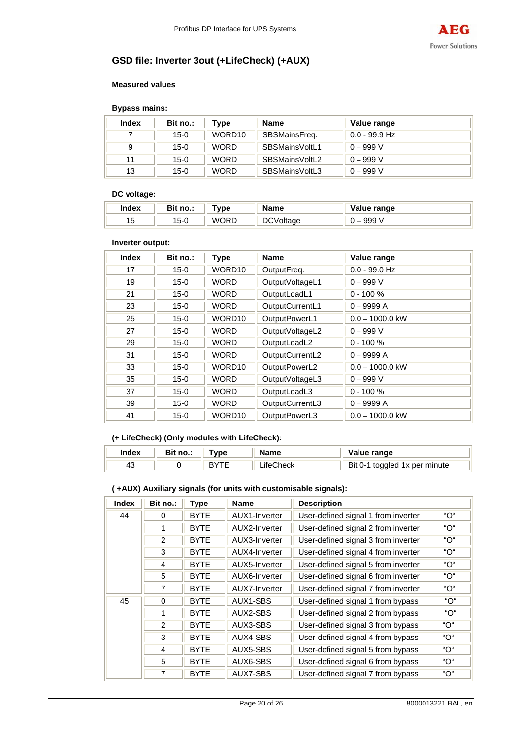

# **GSD file: Inverter 3out (+LifeCheck) (+AUX)**

#### **Measured values**

#### **Bypass mains:**

| <b>Index</b> | Bit no.: | Type        | <b>Name</b>    | Value range     |
|--------------|----------|-------------|----------------|-----------------|
|              | $15-0$   | WORD10      | SBSMainsFreg.  | $0.0$ - 99.9 Hz |
|              | $15-0$   | <b>WORD</b> | SBSMainsVoltL1 | $0 - 999 V$     |
| 11           | $15-0$   | <b>WORD</b> | SBSMainsVoltL2 | $0 - 999 V$     |
| 13           | $15-0$   | <b>WORD</b> | SBSMainsVoltL3 | $0 - 999 V$     |

#### **DC voltage:**

| Index | no.:<br>ייט | vne         | <b>Name</b>       | Value range |
|-------|-------------|-------------|-------------------|-------------|
| 15    | 5-0         | <b>WORD</b> | D.<br>oltage<br>◡ | 999         |

#### **Inverter output:**

| <b>Index</b> | Bit no.: | <b>Type</b> | <b>Name</b>     | Value range       |
|--------------|----------|-------------|-----------------|-------------------|
| 17           | $15-0$   | WORD10      | OutputFreq.     | $0.0 - 99.0$ Hz   |
| 19           | $15 - 0$ | <b>WORD</b> | OutputVoltageL1 | $0 - 999 V$       |
| 21           | $15-0$   | <b>WORD</b> | OutputLoadL1    | $0 - 100 \%$      |
| 23           | $15 - 0$ | <b>WORD</b> | OutputCurrentL1 | $0 - 9999A$       |
| 25           | $15 - 0$ | WORD10      | OutputPowerL1   | $0.0 - 1000.0$ kW |
| 27           | $15-0$   | <b>WORD</b> | OutputVoltageL2 | $0 - 999 V$       |
| 29           | $15 - 0$ | <b>WORD</b> | OutputLoadL2    | $0 - 100 \%$      |
| 31           | 15-0     | <b>WORD</b> | OutputCurrentL2 | $0 - 9999A$       |
| 33           | $15-0$   | WORD10      | OutputPowerL2   | $0.0 - 1000.0$ kW |
| 35           | 15-0     | <b>WORD</b> | OutputVoltageL3 | $0 - 999 V$       |
| 37           | $15-0$   | <b>WORD</b> | OutputLoadL3    | $0 - 100 \%$      |
| 39           | 15-0     | <b>WORD</b> | OutputCurrentL3 | $0 - 9999A$       |
| 41           | $15-0$   | WORD10      | OutputPowerL3   | $0.0 - 1000.0$ kW |

### **(+ LifeCheck) (Only modules with LifeCheck):**

| Index | Bit no.: | Tvpe | Name      | Value range                   |
|-------|----------|------|-----------|-------------------------------|
| -4٥   |          |      | ∟iteCheck | Bit 0-1 toggled 1x per minute |

#### **( +AUX) Auxiliary signals (for units with customisable signals):**

| <b>Index</b> | Bit no.:       | Type        | <b>Name</b>   | <b>Description</b>                  |     |
|--------------|----------------|-------------|---------------|-------------------------------------|-----|
| 44           | 0              | <b>BYTE</b> | AUX1-Inverter | User-defined signal 1 from inverter | "О" |
|              |                | <b>BYTE</b> | AUX2-Inverter | User-defined signal 2 from inverter | "O" |
|              | $\overline{2}$ | <b>BYTE</b> | AUX3-Inverter | User-defined signal 3 from inverter | "О" |
|              | 3              | <b>BYTE</b> | AUX4-Inverter | User-defined signal 4 from inverter | "O" |
|              | 4              | <b>BYTE</b> | AUX5-Inverter | User-defined signal 5 from inverter | "O" |
|              | 5              | <b>BYTE</b> | AUX6-Inverter | User-defined signal 6 from inverter | "O" |
|              | 7              | <b>BYTE</b> | AUX7-Inverter | User-defined signal 7 from inverter | "O" |
| 45           | $\Omega$       | <b>BYTE</b> | AUX1-SBS      | User-defined signal 1 from bypass   | "O" |
|              |                | <b>BYTE</b> | AUX2-SBS      | User-defined signal 2 from bypass   | "O" |
|              | 2              | <b>BYTE</b> | AUX3-SBS      | User-defined signal 3 from bypass   | "O" |
|              | 3              | <b>BYTE</b> | AUX4-SBS      | User-defined signal 4 from bypass   | "O" |
|              | 4              | <b>BYTE</b> | AUX5-SBS      | User-defined signal 5 from bypass   | "O" |
|              | 5              | <b>BYTE</b> | AUX6-SBS      | User-defined signal 6 from bypass   | "O" |
|              | 7              | <b>BYTE</b> | AUX7-SBS      | User-defined signal 7 from bypass   | "O" |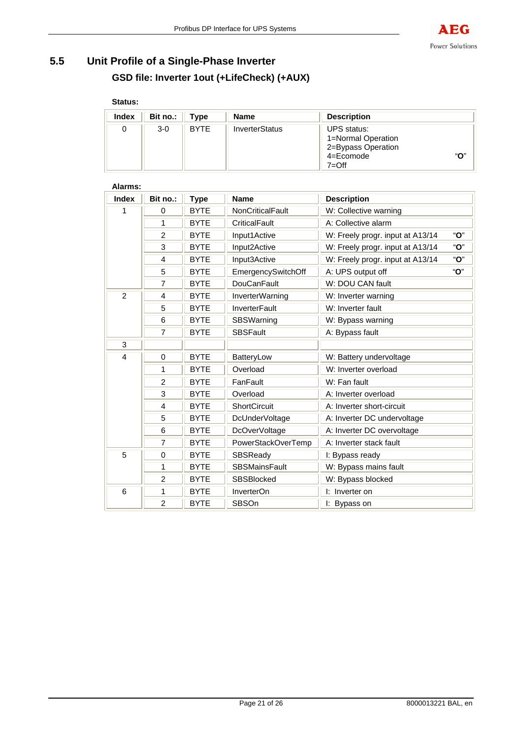

# **5.5 Unit Profile of a Single-Phase Inverter GSD file: Inverter 1out (+LifeCheck) (+AUX)**

### **Status:**

| Index | Bit no.: | Type        | <b>Name</b>           | <b>Description</b>                                                              |     |
|-------|----------|-------------|-----------------------|---------------------------------------------------------------------------------|-----|
| 0     | $3-0$    | <b>BYTE</b> | <b>InverterStatus</b> | UPS status:<br>1=Normal Operation<br>2=Bypass Operation<br>4=Ecomode<br>$7=Off$ | "О" |

| Alariis.       |                |             |                         |                                  |     |
|----------------|----------------|-------------|-------------------------|----------------------------------|-----|
| <b>Index</b>   | Bit no.:       | <b>Type</b> | <b>Name</b>             | <b>Description</b>               |     |
| 1              | $\Omega$       | <b>BYTE</b> | <b>NonCriticalFault</b> | W: Collective warning            |     |
|                | 1              | <b>BYTE</b> | CriticalFault           | A: Collective alarm              |     |
|                | $\overline{2}$ | <b>BYTE</b> | Input1Active            | W: Freely progr. input at A13/14 | "О" |
|                | 3              | <b>BYTE</b> | Input2Active            | W: Freely progr. input at A13/14 | "O" |
|                | 4              | <b>BYTE</b> | Input3Active            | W: Freely progr. input at A13/14 | "O" |
|                | 5              | <b>BYTE</b> | EmergencySwitchOff      | A: UPS output off                | "O" |
|                | $\overline{7}$ | <b>BYTE</b> | <b>DouCanFault</b>      | W: DOU CAN fault                 |     |
| $\overline{2}$ | 4              | <b>BYTE</b> | <b>InverterWarning</b>  | W: Inverter warning              |     |
|                | 5              | <b>BYTE</b> | <b>InverterFault</b>    | W: Inverter fault                |     |
|                | 6              | <b>BYTE</b> | SBSWarning              | W: Bypass warning                |     |
|                | $\overline{7}$ | <b>BYTE</b> | <b>SBSFault</b>         | A: Bypass fault                  |     |
| 3              |                |             |                         |                                  |     |
| 4              | 0              | <b>BYTE</b> | BatteryLow              | W: Battery undervoltage          |     |
|                | 1              | <b>BYTE</b> | Overload                | W: Inverter overload             |     |
|                | $\overline{2}$ | <b>BYTE</b> | FanFault                | W: Fan fault                     |     |
|                | 3              | <b>BYTE</b> | Overload                | A: Inverter overload             |     |
|                | 4              | <b>BYTE</b> | <b>ShortCircuit</b>     | A: Inverter short-circuit        |     |
|                | 5              | <b>BYTE</b> | DcUnderVoltage          | A: Inverter DC undervoltage      |     |
|                | 6              | <b>BYTE</b> | DcOverVoltage           | A: Inverter DC overvoltage       |     |
|                | $\overline{7}$ | <b>BYTE</b> | PowerStackOverTemp      | A: Inverter stack fault          |     |
| 5              | $\Omega$       | <b>BYTE</b> | SBSReady                | I: Bypass ready                  |     |
|                | 1              | <b>BYTE</b> | <b>SBSMainsFault</b>    | W: Bypass mains fault            |     |
|                | 2              | <b>BYTE</b> | <b>SBSBlocked</b>       | W: Bypass blocked                |     |
| 6              | 1              | <b>BYTE</b> | InverterOn              | I: Inverter on                   |     |
|                | 2              | <b>BYTE</b> | <b>SBSOn</b>            | I: Bypass on                     |     |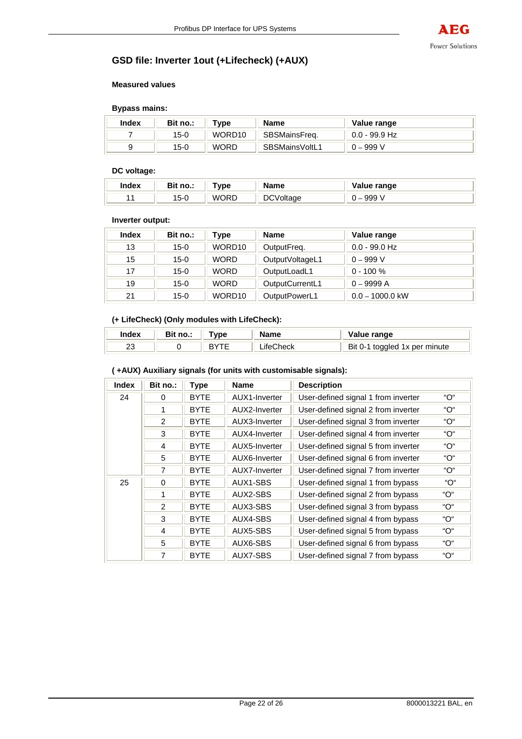

# **GSD file: Inverter 1out (+Lifecheck) (+AUX)**

#### **Measured values**

#### **Bypass mains:**

| Index | Bit no.: | ™vpe               | <b>Name</b>    | Value range     |
|-------|----------|--------------------|----------------|-----------------|
|       | $15-0$   | WORD <sub>10</sub> | SBSMainsFreg.  | $0.0$ - 99.9 Hz |
|       | $15-0$   | <b>WORD</b>        | SBSMainsVoltL1 | ′′ 999 – ر      |

#### **DC voltage:**

| <b>Index</b> | Bit no.: | vne ⊺ | <b>Name</b>  | Value range |
|--------------|----------|-------|--------------|-------------|
|              | $15 - C$ | WORD  | D)<br>oltage | 999         |

#### **Inverter output:**

| <b>Index</b> | Bit no.: | Type        | <b>Name</b>     | Value range       |
|--------------|----------|-------------|-----------------|-------------------|
| 13           | $15-0$   | WORD10      | OutputFreq.     | $0.0 - 99.0$ Hz   |
| 15           | $15-0$   | <b>WORD</b> | OutputVoltageL1 | $0 - 999 V$       |
| 17           | $15-0$   | <b>WORD</b> | OutputLoadL1    | $0 - 100 \%$      |
| 19           | $15-0$   | <b>WORD</b> | OutputCurrentL1 | $0 - 9999A$       |
| 21           | $15-0$   | WORD10      | OutputPowerL1   | $0.0 - 1000.0$ kW |

### **(+ LifeCheck) (Only modules with LifeCheck):**

| Index   | no | . | ---<br>, dille  | √alue range                            |
|---------|----|---|-----------------|----------------------------------------|
| ົ<br>ںے |    |   | ∵heck<br>ا ۱۲۵۱ | Bit<br>toggled 1x per minute<br>$(1 -$ |

### **( +AUX) Auxiliary signals (for units with customisable signals):**

| <b>Index</b> | Bit no.:       | <b>Type</b> | <b>Name</b>   | <b>Description</b>                  |     |
|--------------|----------------|-------------|---------------|-------------------------------------|-----|
| 24           | 0              | <b>BYTE</b> | AUX1-Inverter | User-defined signal 1 from inverter | "O" |
|              | 1              | <b>BYTE</b> | AUX2-Inverter | User-defined signal 2 from inverter | "O" |
|              | $\overline{2}$ | <b>BYTE</b> | AUX3-Inverter | User-defined signal 3 from inverter | "O" |
|              | 3              | <b>BYTE</b> | AUX4-Inverter | User-defined signal 4 from inverter | "O" |
|              | 4              | <b>BYTE</b> | AUX5-Inverter | User-defined signal 5 from inverter | "O" |
|              | 5              | <b>BYTE</b> | AUX6-Inverter | User-defined signal 6 from inverter | "O" |
|              | 7              | <b>BYTE</b> | AUX7-Inverter | User-defined signal 7 from inverter | "О" |
| 25           | 0              | <b>BYTE</b> | AUX1-SBS      | User-defined signal 1 from bypass   | "O" |
|              | 1              | <b>BYTE</b> | AUX2-SBS      | User-defined signal 2 from bypass   | "O" |
|              | $\mathcal{P}$  | <b>BYTE</b> | AUX3-SBS      | User-defined signal 3 from bypass   | "O" |
|              | 3              | <b>BYTE</b> | AUX4-SBS      | User-defined signal 4 from bypass   | "O" |
|              | 4              | <b>BYTE</b> | AUX5-SBS      | User-defined signal 5 from bypass   | "O" |
|              | 5              | <b>BYTE</b> | AUX6-SBS      | User-defined signal 6 from bypass   | "O" |
|              | 7              | <b>BYTE</b> | AUX7-SBS      | User-defined signal 7 from bypass   | "O" |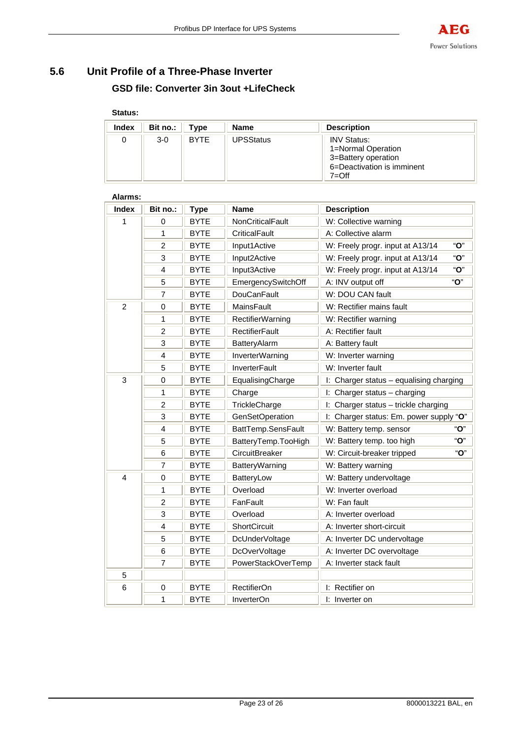# **5.6 Unit Profile of a Three-Phase Inverter GSD file: Converter 3in 3out +LifeCheck**

# **Status:**

| Index | Bit no.: $  $ | Type        | <b>Name</b>      | <b>Description</b>                                                                                         |
|-------|---------------|-------------|------------------|------------------------------------------------------------------------------------------------------------|
|       | $3-0$         | <b>BYTE</b> | <b>UPSStatus</b> | <b>INV Status:</b><br>1=Normal Operation<br>3=Battery operation<br>6=Deactivation is imminent<br>$7 = Off$ |

| Alarms:                 |                |             |                                               |                                         |  |  |  |
|-------------------------|----------------|-------------|-----------------------------------------------|-----------------------------------------|--|--|--|
| <b>Index</b>            | Bit no.:       | <b>Type</b> | <b>Name</b>                                   | <b>Description</b>                      |  |  |  |
| 1                       | 0              | <b>BYTE</b> | NonCriticalFault                              | W: Collective warning                   |  |  |  |
|                         | 1              | <b>BYTE</b> | CriticalFault                                 | A: Collective alarm                     |  |  |  |
|                         | $\overline{2}$ | <b>BYTE</b> | Input1Active                                  | "О"<br>W: Freely progr. input at A13/14 |  |  |  |
|                         | 3              | <b>BYTE</b> | Input2Active                                  | "O"<br>W: Freely progr. input at A13/14 |  |  |  |
|                         | 4              | <b>BYTE</b> | Input3Active                                  | "O"<br>W: Freely progr. input at A13/14 |  |  |  |
|                         | $\overline{5}$ | <b>BYTE</b> | EmergencySwitchOff                            | "O"<br>A: INV output off                |  |  |  |
|                         | 7              | <b>BYTE</b> | <b>DouCanFault</b>                            | W: DOU CAN fault                        |  |  |  |
| $\overline{2}$          | $\mathbf 0$    | <b>BYTE</b> | MainsFault                                    | W: Rectifier mains fault                |  |  |  |
|                         | 1              | <b>BYTE</b> | <b>RectifierWarning</b>                       | W: Rectifier warning                    |  |  |  |
|                         | $\overline{c}$ | <b>BYTE</b> | <b>RectifierFault</b>                         | A: Rectifier fault                      |  |  |  |
|                         | 3              | <b>BYTE</b> | BatteryAlarm                                  | A: Battery fault                        |  |  |  |
|                         | 4              | <b>BYTE</b> | InverterWarning                               | W: Inverter warning                     |  |  |  |
|                         | 5              | <b>BYTE</b> | <b>InverterFault</b>                          | W: Inverter fault                       |  |  |  |
| 3                       | $\mathbf 0$    | <b>BYTE</b> | EqualisingCharge                              | I: Charger status - equalising charging |  |  |  |
|                         | 1              | <b>BYTE</b> | Charge                                        | I: Charger status - charging            |  |  |  |
|                         | $\overline{2}$ | <b>BYTE</b> | TrickleCharge                                 | I: Charger status - trickle charging    |  |  |  |
|                         | $\overline{3}$ | <b>BYTE</b> | <b>GenSetOperation</b>                        | I: Charger status: Em. power supply "O" |  |  |  |
|                         | 4              | <b>BYTE</b> | BattTemp.SensFault                            | "O"<br>W: Battery temp. sensor          |  |  |  |
|                         | 5              | <b>BYTE</b> | BatteryTemp.TooHigh                           | "O"<br>W: Battery temp. too high        |  |  |  |
|                         | 6              | <b>BYTE</b> | CircuitBreaker                                | "O"<br>W: Circuit-breaker tripped       |  |  |  |
|                         | 7              | <b>BYTE</b> | BatteryWarning                                | W: Battery warning                      |  |  |  |
| $\overline{\mathbf{4}}$ | 0              | <b>BYTE</b> | BatteryLow                                    | W: Battery undervoltage                 |  |  |  |
|                         | 1              | <b>BYTE</b> | Overload                                      | W: Inverter overload                    |  |  |  |
|                         | $\overline{c}$ | <b>BYTE</b> | FanFault                                      | W: Fan fault                            |  |  |  |
|                         | $\overline{3}$ | <b>BYTE</b> | Overload                                      | A: Inverter overload                    |  |  |  |
|                         | 4              | <b>BYTE</b> | ShortCircuit<br>A: Inverter short-circuit     |                                         |  |  |  |
|                         | 5              | <b>BYTE</b> | A: Inverter DC undervoltage<br>DcUnderVoltage |                                         |  |  |  |
|                         | 6              | <b>BYTE</b> | DcOverVoltage                                 | A: Inverter DC overvoltage              |  |  |  |
|                         | 7              | <b>BYTE</b> | PowerStackOverTemp<br>A: Inverter stack fault |                                         |  |  |  |
| 5                       |                |             |                                               |                                         |  |  |  |
| 6                       | $\pmb{0}$      | <b>BYTE</b> | <b>RectifierOn</b>                            | I: Rectifier on                         |  |  |  |
|                         | 1              | <b>BYTE</b> | InverterOn                                    | I: Inverter on                          |  |  |  |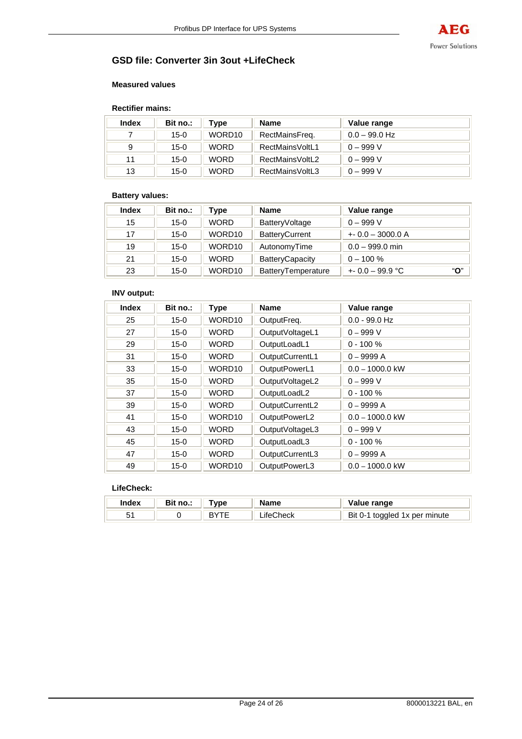

### **GSD file: Converter 3in 3out +LifeCheck**

#### **Measured values**

#### **Rectifier mains:**

| <b>Index</b> | Bit no.: | Type        | <b>Name</b>     | Value range     |
|--------------|----------|-------------|-----------------|-----------------|
|              | $15-0$   | WORD10      | RectMainsFreq.  | $0.0 - 99.0$ Hz |
| 9            | $15-0$   | <b>WORD</b> | RectMainsVoltL1 | $0 - 999 V$     |
| 11           | $15-0$   | <b>WORD</b> | RectMainsVoltL2 | $0 - 999 V$     |
| 13           | $15-0$   | <b>WORD</b> | RectMainsVoltL3 | $0 - 999 V$     |

### **Battery values:**

| <b>Index</b> | Bit no.: | Type        | <b>Name</b>            | Value range             |
|--------------|----------|-------------|------------------------|-------------------------|
| 15           | $15-0$   | <b>WORD</b> | BatteryVoltage         | $0 - 999 V$             |
| 17           | $15-0$   | WORD10      | <b>BatteryCurrent</b>  | $+0.0 - 3000.0 A$       |
| 19           | $15-0$   | WORD10      | AutonomyTime           | $0.0 - 999.0$ min       |
| 21           | $15-0$   | <b>WORD</b> | <b>BatteryCapacity</b> | $0 - 100 \%$            |
| 23           | $15-0$   | WORD10      | BatteryTemperature     | "О"<br>$+0.0 - 99.9$ °C |

### **INV output:**

| <b>Index</b> | Bit no.: | <b>Type</b> | Name            | Value range       |
|--------------|----------|-------------|-----------------|-------------------|
| 25           | $15-0$   | WORD10      | OutputFreq.     | $0.0 - 99.0$ Hz   |
| 27           | $15-0$   | <b>WORD</b> | OutputVoltageL1 | $0 - 999 V$       |
| 29           | $15 - 0$ | <b>WORD</b> | OutputLoadL1    | $0 - 100 \%$      |
| 31           | $15-0$   | <b>WORD</b> | OutputCurrentL1 | $0 - 9999A$       |
| 33           | $15-0$   | WORD10      | OutputPowerL1   | $0.0 - 1000.0$ kW |
| 35           | $15 - 0$ | <b>WORD</b> | OutputVoltageL2 | $0 - 999 V$       |
| 37           | $15 - 0$ | <b>WORD</b> | OutputLoadL2    | $0 - 100 \%$      |
| 39           | $15-0$   | <b>WORD</b> | OutputCurrentL2 | $0 - 9999A$       |
| 41           | $15 - 0$ | WORD10      | OutputPowerL2   | $0.0 - 1000.0$ kW |
| 43           | $15 - 0$ | <b>WORD</b> | OutputVoltageL3 | $0 - 999 V$       |
| 45           | $15 - 0$ | <b>WORD</b> | OutputLoadL3    | $0 - 100 \%$      |
| 47           | $15-0$   | <b>WORD</b> | OutputCurrentL3 | $0 - 9999A$       |
| 49           | $15 - 0$ | WORD10      | OutputPowerL3   | $0.0 - 1000.0$ kW |

### **LifeCheck:**

| Index | no.: | Tvne | <b>Name</b>   | Value range                             |
|-------|------|------|---------------|-----------------------------------------|
|       |      |      | . ck<br>_ife( | <b>Bit 0-1</b><br>toggled 1x per minute |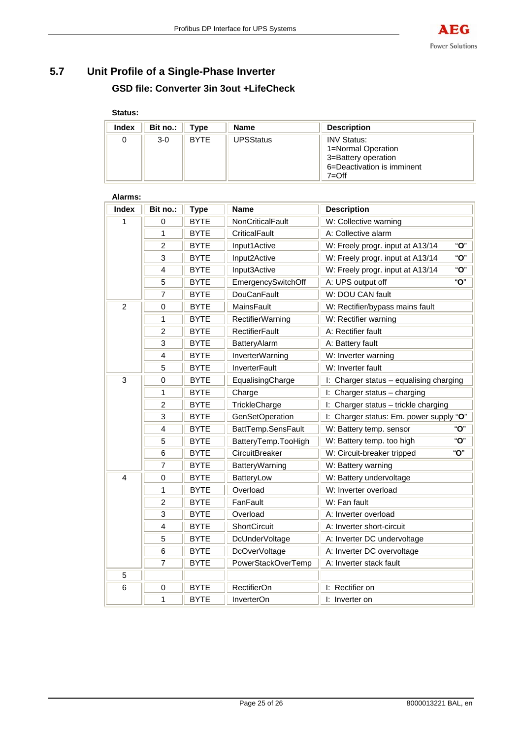# **5.7 Unit Profile of a Single-Phase Inverter GSD file: Converter 3in 3out +LifeCheck**

# **Status:**

| Index | Bit no.: | Type        | Name             | <b>Description</b>                                                                                         |
|-------|----------|-------------|------------------|------------------------------------------------------------------------------------------------------------|
|       | $3-0$    | <b>BYTE</b> | <b>UPSStatus</b> | <b>INV Status:</b><br>1=Normal Operation<br>3=Battery operation<br>6=Deactivation is imminent<br>$7 = Off$ |

| Alarms:        |                |             |                                           |                                         |  |  |  |
|----------------|----------------|-------------|-------------------------------------------|-----------------------------------------|--|--|--|
| <b>Index</b>   | Bit no.:       | <b>Type</b> | Name                                      | <b>Description</b>                      |  |  |  |
| 1              | 0              | <b>BYTE</b> | NonCriticalFault                          | W: Collective warning                   |  |  |  |
|                | 1              | <b>BYTE</b> | CriticalFault                             | A: Collective alarm                     |  |  |  |
|                | $\overline{c}$ | <b>BYTE</b> | Input1Active                              | "O"<br>W: Freely progr. input at A13/14 |  |  |  |
|                | 3              | <b>BYTE</b> | Input2Active                              | "O"<br>W: Freely progr. input at A13/14 |  |  |  |
|                | 4              | <b>BYTE</b> | Input3Active                              | "O"<br>W: Freely progr. input at A13/14 |  |  |  |
|                | 5              | <b>BYTE</b> | EmergencySwitchOff                        | "O"<br>A: UPS output off                |  |  |  |
|                | 7              | <b>BYTE</b> | <b>DouCanFault</b>                        | W: DOU CAN fault                        |  |  |  |
| $\overline{c}$ | $\mathbf 0$    | <b>BYTE</b> | MainsFault                                | W: Rectifier/bypass mains fault         |  |  |  |
|                | 1              | <b>BYTE</b> | <b>RectifierWarning</b>                   | W: Rectifier warning                    |  |  |  |
|                | $\overline{2}$ | <b>BYTE</b> | <b>RectifierFault</b>                     | A: Rectifier fault                      |  |  |  |
|                | 3              | <b>BYTE</b> | BatteryAlarm                              | A: Battery fault                        |  |  |  |
|                | 4              | <b>BYTE</b> | <b>InverterWarning</b>                    | W: Inverter warning                     |  |  |  |
|                | 5              | <b>BYTE</b> | <b>InverterFault</b>                      | W: Inverter fault                       |  |  |  |
| 3              | $\mathbf 0$    | <b>BYTE</b> | EqualisingCharge                          | I: Charger status - equalising charging |  |  |  |
|                | 1              | <b>BYTE</b> | Charge                                    | I: Charger status - charging            |  |  |  |
|                | $\overline{2}$ | <b>BYTE</b> | TrickleCharge                             | I: Charger status - trickle charging    |  |  |  |
|                | $\overline{3}$ | <b>BYTE</b> | <b>GenSetOperation</b>                    | I: Charger status: Em. power supply "O" |  |  |  |
|                | 4              | <b>BYTE</b> | BattTemp.SensFault                        | "O"<br>W: Battery temp. sensor          |  |  |  |
|                | 5              | <b>BYTE</b> | BatteryTemp.TooHigh                       | "O"<br>W: Battery temp. too high        |  |  |  |
|                | 6              | <b>BYTE</b> | CircuitBreaker                            | "O"<br>W: Circuit-breaker tripped       |  |  |  |
|                | 7              | <b>BYTE</b> | BatteryWarning                            | W: Battery warning                      |  |  |  |
| 4              | 0              | <b>BYTE</b> | BatteryLow                                | W: Battery undervoltage                 |  |  |  |
|                | 1              | <b>BYTE</b> | Overload                                  | W: Inverter overload                    |  |  |  |
|                | $\overline{c}$ | <b>BYTE</b> | FanFault                                  | W: Fan fault                            |  |  |  |
|                | 3              | <b>BYTE</b> | Overload                                  | A: Inverter overload                    |  |  |  |
|                | 4              | <b>BYTE</b> | ShortCircuit<br>A: Inverter short-circuit |                                         |  |  |  |
|                | 5              | <b>BYTE</b> | DcUnderVoltage                            | A: Inverter DC undervoltage             |  |  |  |
|                | 6              | <b>BYTE</b> | DcOverVoltage                             | A: Inverter DC overvoltage              |  |  |  |
|                | 7              | <b>BYTE</b> | PowerStackOverTemp                        | A: Inverter stack fault                 |  |  |  |
| 5              |                |             |                                           |                                         |  |  |  |
| 6              | $\pmb{0}$      | <b>BYTE</b> | <b>RectifierOn</b>                        | I: Rectifier on                         |  |  |  |
|                | 1              | <b>BYTE</b> | InverterOn                                | I: Inverter on                          |  |  |  |